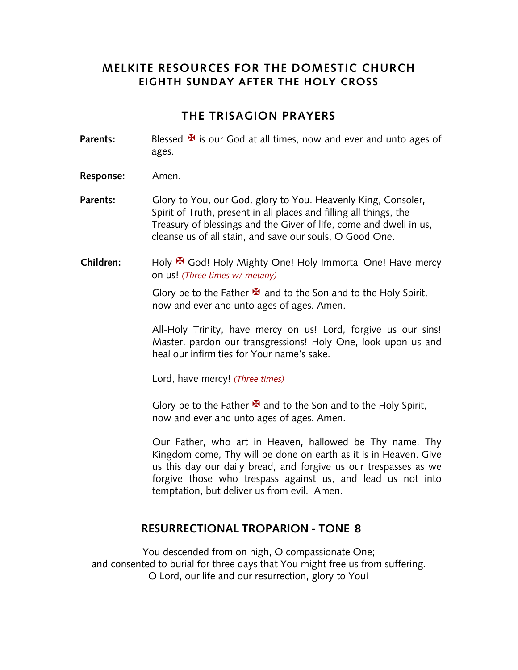## **MELKITE RESOURCES FOR THE DOMESTIC CHURCH EIGHTH SUNDAY AFTER THE HOLY CROSS**

## **THE TRISAGION PRAYERS**

- **Parents:** Blessed  $\mathbf{\Sigma}$  is our God at all times, now and ever and unto ages of ages.
- **Response:** Amen.
- **Parents:** Glory to You, our God, glory to You. Heavenly King, Consoler, Spirit of Truth, present in all places and filling all things, the Treasury of blessings and the Giver of life, come and dwell in us, cleanse us of all stain, and save our souls, O Good One.
- Children: Holy <sup>★</sup> God! Holy Mighty One! Holy Immortal One! Have mercy on us! *(Three times w/ metany)*

Glory be to the Father  $\mathbf{\mathbf{\mathbf{\mathsf{F}}} }$  and to the Son and to the Holy Spirit, now and ever and unto ages of ages. Amen.

All-Holy Trinity, have mercy on us! Lord, forgive us our sins! Master, pardon our transgressions! Holy One, look upon us and heal our infirmities for Your name's sake.

Lord, have mercy! *(Three times)*

Glory be to the Father  $\mathbf{\mathbf{\mathsf{F}}}$  and to the Son and to the Holy Spirit, now and ever and unto ages of ages. Amen.

Our Father, who art in Heaven, hallowed be Thy name. Thy Kingdom come, Thy will be done on earth as it is in Heaven. Give us this day our daily bread, and forgive us our trespasses as we forgive those who trespass against us, and lead us not into temptation, but deliver us from evil. Amen.

#### **RESURRECTIONAL TROPARION - TONE 8**

You descended from on high, O compassionate One; and consented to burial for three days that You might free us from suffering. O Lord, our life and our resurrection, glory to You!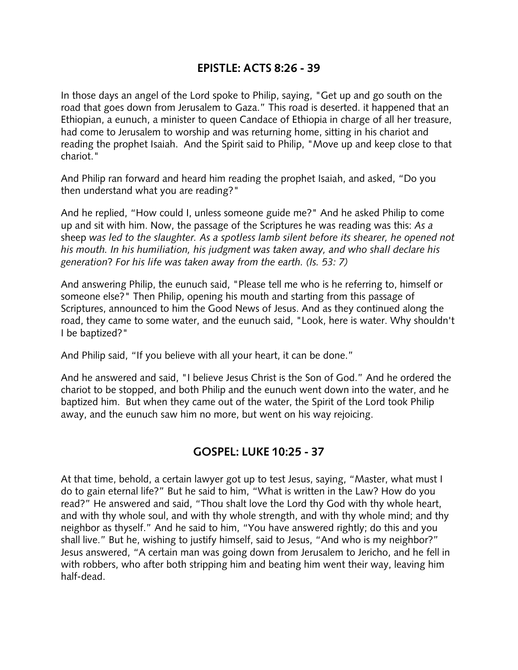## **EPISTLE: ACTS 8:26 - 39**

In those days an angel of the Lord spoke to Philip, saying, "Get up and go south on the road that goes down from Jerusalem to Gaza." This road is deserted. it happened that an Ethiopian, a eunuch, a minister to queen Candace of Ethiopia in charge of all her treasure, had come to Jerusalem to worship and was returning home, sitting in his chariot and reading the prophet Isaiah. And the Spirit said to Philip, "Move up and keep close to that chariot."

And Philip ran forward and heard him reading the prophet Isaiah, and asked, "Do you then understand what you are reading?"

And he replied, "How could I, unless someone guide me?" And he asked Philip to come up and sit with him. Now, the passage of the Scriptures he was reading was this: *As a*  sheep *was led to the slaughter. As a spotless lamb silent before its shearer, he opened not his mouth. In his humiliation, his judgment was taken away, and who shall declare his generation*? *For his life was taken away from the earth. (Is. 53: 7)*

And answering Philip, the eunuch said, "Please tell me who is he referring to, himself or someone else?" Then Philip, opening his mouth and starting from this passage of Scriptures, announced to him the Good News of Jesus. And as they continued along the road, they came to some water, and the eunuch said, "Look, here is water. Why shouldn't I be baptized?"

And Philip said, "If you believe with all your heart, it can be done."

And he answered and said, "I believe Jesus Christ is the Son of God." And he ordered the chariot to be stopped, and both Philip and the eunuch went down into the water, and he baptized him. But when they came out of the water, the Spirit of the Lord took Philip away, and the eunuch saw him no more, but went on his way rejoicing.

# **GOSPEL: LUKE 10:25 - 37**

At that time, behold, a certain lawyer got up to test Jesus, saying, "Master, what must I do to gain eternal life?" But he said to him, "What is written in the Law? How do you read?" He answered and said, "Thou shalt love the Lord thy God with thy whole heart, and with thy whole soul, and with thy whole strength, and with thy whole mind; and thy neighbor as thyself." And he said to him, "You have answered rightly; do this and you shall live." But he, wishing to justify himself, said to Jesus, "And who is my neighbor?" Jesus answered, "A certain man was going down from Jerusalem to Jericho, and he fell in with robbers, who after both stripping him and beating him went their way, leaving him half-dead.